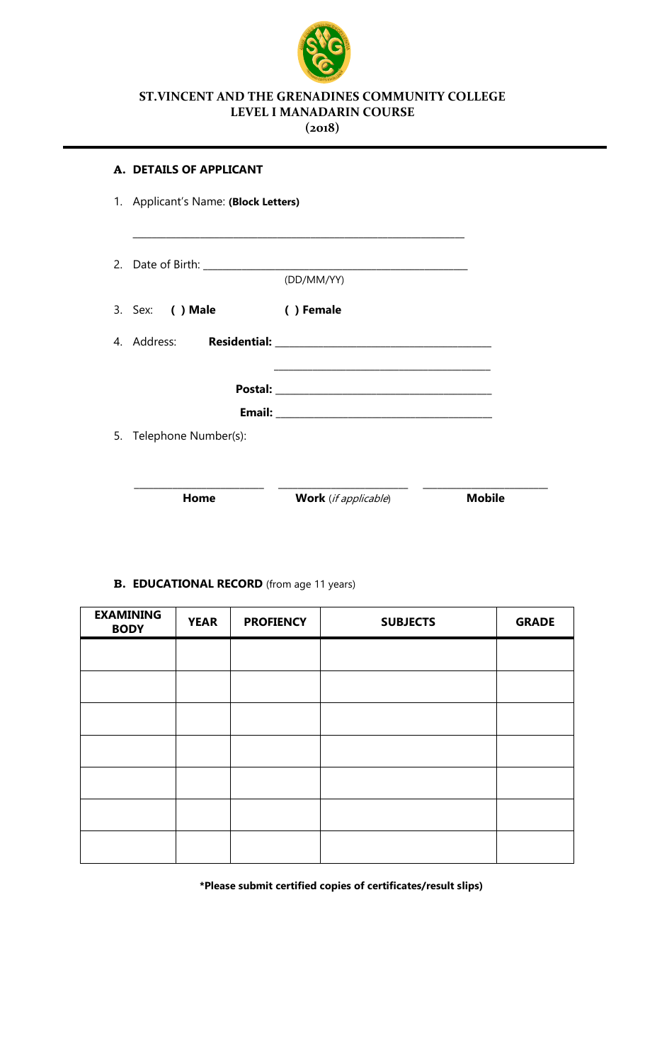

## **ST.VINCENT AND THE GRENADINES COMMUNITY COLLEGE LEVEL I MANADARIN COURSE**

**(2018)**

|    | A. DETAILS OF APPLICANT              |                                                                    |               |
|----|--------------------------------------|--------------------------------------------------------------------|---------------|
|    | 1. Applicant's Name: (Block Letters) |                                                                    |               |
|    |                                      |                                                                    |               |
|    |                                      | (DD/MM/YY)                                                         |               |
|    | 3. Sex: ( ) Male                     | () Female                                                          |               |
|    | 4. Address:                          |                                                                    |               |
|    |                                      | <u> 1980 - Johann John Stein, mars an deutscher Stein († 1950)</u> |               |
|    |                                      |                                                                    |               |
| 5. | Telephone Number(s):                 |                                                                    |               |
|    |                                      |                                                                    |               |
|    | Home                                 | Work (if applicable)                                               | <b>Mobile</b> |

# **B. EDUCATIONAL RECORD** (from age 11 years)

| <b>EXAMINING</b><br><b>BODY</b> | <b>YEAR</b> | <b>PROFIENCY</b> | <b>SUBJECTS</b> | <b>GRADE</b> |
|---------------------------------|-------------|------------------|-----------------|--------------|
|                                 |             |                  |                 |              |
|                                 |             |                  |                 |              |
|                                 |             |                  |                 |              |
|                                 |             |                  |                 |              |
|                                 |             |                  |                 |              |
|                                 |             |                  |                 |              |
|                                 |             |                  |                 |              |

**\*Please submit certified copies of certificates/result slips)**